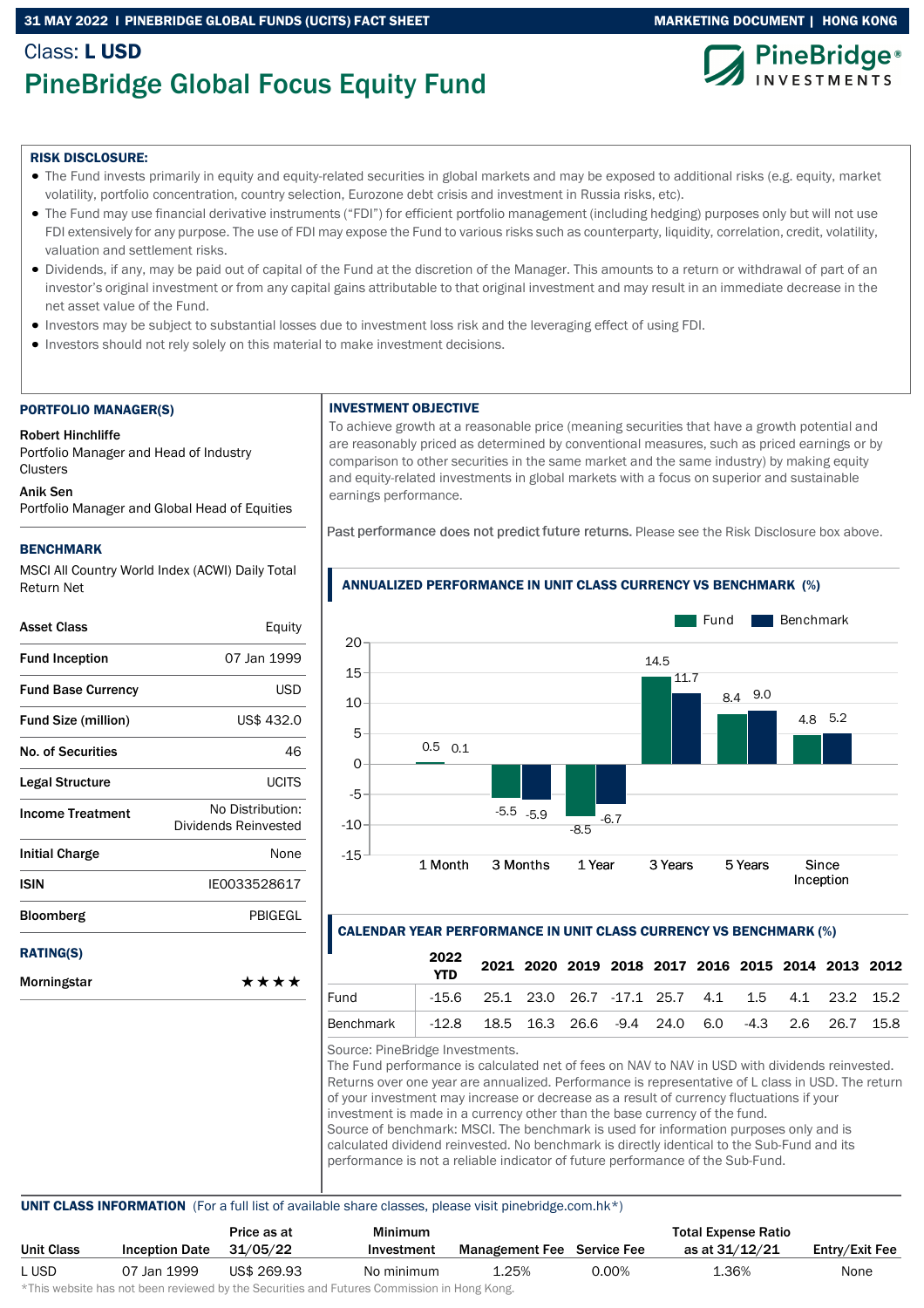### 31 MAY 2022 I PINEBRIDGE GLOBAL FUNDS (UCITS) FACT SHEET MARKETING MARKETING DOCUMENT | HONG KONG

# Class: LUSD PineBridge Global Focus Equity Fund



### RISK DISCLOSURE:

- The Fund invests primarily in equity and equity-related securities in global markets and may be exposed to additional risks (e.g. equity, market volatility, portfolio concentration, country selection, Eurozone debt crisis and investment in Russia risks, etc).
- The Fund may use financial derivative instruments ("FDI") for efficient portfolio management (including hedging) purposes only but will not use FDI extensively for any purpose. The use of FDI may expose the Fund to various risks such as counterparty, liquidity, correlation, credit, volatility, valuation and settlement risks.
- Dividends, if any, may be paid out of capital of the Fund at the discretion of the Manager. This amounts to a return or withdrawal of part of an investor's original investment or from any capital gains attributable to that original investment and may result in an immediate decrease in the net asset value of the Fund.
- Investors may be subject to substantial losses due to investment loss risk and the leveraging effect of using FDI.
- Investors should not rely solely on this material to make investment decisions.

### PORTFOLIO MANAGER(S)

Robert Hinchliffe

Portfolio Manager and Head of Industry **Clusters** 

### Anik Sen

Portfolio Manager and Global Head of Equities

### BENCHMARK

MSCI All Country World Index (ACWI) Daily Total Return Net

| Asset Class                | Equity                                   |
|----------------------------|------------------------------------------|
| <b>Fund Inception</b>      | 07 Jan 1999                              |
| <b>Fund Base Currency</b>  | <b>USD</b>                               |
| <b>Fund Size (million)</b> | US\$ 432.0                               |
| <b>No. of Securities</b>   | 46                                       |
| Legal Structure            | UCITS                                    |
| <b>Income Treatment</b>    | No Distribution:<br>Dividends Reinvested |
| Initial Charge             | None                                     |
| ISIN                       | IE0033528617                             |
| <b>Bloomberg</b>           | PBIGEGL                                  |
| <b>RATING(S)</b>           |                                          |
| Morningstar                | ****                                     |

### INVESTMENT OBJECTIVE

To achieve growth at a reasonable price (meaning securities that have a growth potential and are reasonably priced as determined by conventional measures, such as priced earnings or by comparison to other securities in the same market and the same industry) by making equity and equity-related investments in global markets with a focus on superior and sustainable earnings performance.

Past performance does not predict future returns. Please see the Risk Disclosure box above.



## ANNUALIZED PERFORMANCE IN UNIT CLASS CURRENCY VS BENCHMARK (%)

### CALENDAR YEAR PERFORMANCE IN UNIT CLASS CURRENCY VS BENCHMARK (%)

|                                                                   | 2022 |                                                           |  | 2021 2020 2019 2018 2017 2016 2015 2014 2013 2012 |  |  |  |
|-------------------------------------------------------------------|------|-----------------------------------------------------------|--|---------------------------------------------------|--|--|--|
| Fund                                                              |      | $-15.6$ 25.1 23.0 26.7 $-17.1$ 25.7 4.1 1.5 4.1 23.2 15.2 |  |                                                   |  |  |  |
| Benchmark   -12.8 18.5 16.3 26.6 -9.4 24.0 6.0 -4.3 2.6 26.7 15.8 |      |                                                           |  |                                                   |  |  |  |

Source: PineBridge Investments.

The Fund performance is calculated net of fees on NAV to NAV in USD with dividends reinvested. Returns over one year are annualized. Performance is representative of L class in USD. The return of your investment may increase or decrease as a result of currency fluctuations if your investment is made in a currency other than the base currency of the fund. Source of benchmark: MSCI. The benchmark is used for information purposes only and is calculated dividend reinvested. No benchmark is directly identical to the Sub-Fund and its performance is not a reliable indicator of future performance of the Sub-Fund.

### UNIT CLASS INFORMATION (For a full list of available share classes, please visit pinebridge.com.hk\*)

|            |                       | Price as at                                                                                                    | <b>Minimum</b> |                                   |       | <b>Total Expense Ratio</b> |                |
|------------|-----------------------|----------------------------------------------------------------------------------------------------------------|----------------|-----------------------------------|-------|----------------------------|----------------|
| Unit Class | <b>Inception Date</b> | 31/05/22                                                                                                       | Investment     | <b>Management Fee</b> Service Fee |       | as at 31/12/21             | Entry/Exit Fee |
| L USD      | 07 Jan 1999           | US\$ 269.93                                                                                                    | No minimum     | 1.25%                             | 0.00% | 1.36%                      | None           |
|            |                       | di∓bio confectivo bele celebracio contecceda bondia e Alexandria e esti Fontacio e Alexandrea funtita de Messo |                |                                   |       |                            |                |

\*This website has not been reviewed by the Securities and Futures Commission in Hong Kong.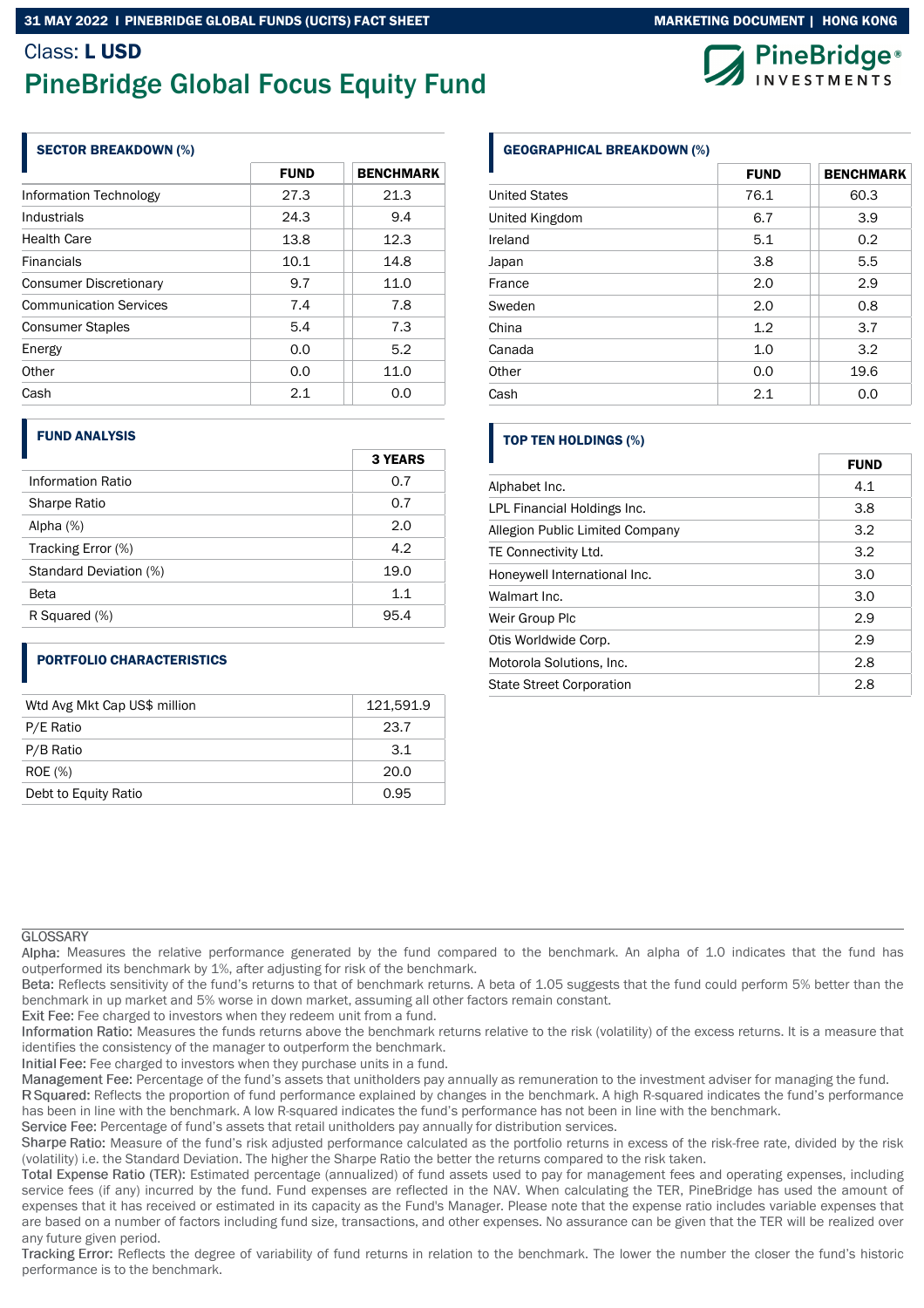### 31 MAY 2022 I PINEBRIDGE GLOBAL FUNDS (UCITS) FACT SHEET MARKETING DOCUMENT MARKETING DOCUMENT | HONG KONG

# Class: LUSD PineBridge Global Focus Equity Fund

### SECTOR BREAKDOWN (%)

|                               | <b>FUND</b> | <b>BENCHMARK</b> |
|-------------------------------|-------------|------------------|
| Information Technology        | 27.3        | 21.3             |
| Industrials                   | 24.3        | 9.4              |
| <b>Health Care</b>            | 13.8        | 12.3             |
| <b>Financials</b>             | 10.1        | 14.8             |
| <b>Consumer Discretionary</b> | 9.7         | 11.0             |
| <b>Communication Services</b> | 7.4         | 7.8              |
| <b>Consumer Staples</b>       | 5.4         | 7.3              |
| Energy                        | 0.0         | 5.2              |
| Other                         | 0.0         | 11.0             |
| Cash                          | 2.1         | 0.0              |

### FUND ANALYSIS

|                        | <b>3 YEARS</b> |
|------------------------|----------------|
| Information Ratio      | 0.7            |
| Sharpe Ratio           | 0.7            |
| Alpha (%)              | 2.0            |
| Tracking Error (%)     | 4.2            |
| Standard Deviation (%) | 19.0           |
| <b>Beta</b>            | 1.1            |
| R Squared (%)          | 95.4           |

### PORTFOLIO CHARACTERISTICS

| Wtd Avg Mkt Cap US\$ million | 121,591.9 |
|------------------------------|-----------|
| P/E Ratio                    | 23.7      |
| P/B Ratio                    | 3.1       |
| ROE (%)                      | 20.0      |
| Debt to Equity Ratio         | 0.95      |

## GEOGRAPHICAL BREAKDOWN (%)

|                      | <b>FUND</b> | <b>BENCHMARK</b> |
|----------------------|-------------|------------------|
| <b>United States</b> | 76.1        | 60.3             |
| United Kingdom       | 6.7         | 3.9              |
| Ireland              | 5.1         | 0.2              |
| Japan                | 3.8         | 5.5              |
| France               | 2.0         | 2.9              |
| Sweden               | 2.0         | 0.8              |
| China                | 1.2         | 3.7              |
| Canada               | 1.0         | 3.2              |
| Other                | 0.0         | 19.6             |
| Cash                 | 2.1         | 0.0              |

### TOP TEN HOLDINGS (%)

|                                 | <b>FUND</b> |
|---------------------------------|-------------|
| Alphabet Inc.                   | 4.1         |
| LPL Financial Holdings Inc.     | 3.8         |
| Allegion Public Limited Company | 3.2         |
| TE Connectivity Ltd.            | 3.2         |
| Honeywell International Inc.    | 3.0         |
| Walmart Inc.                    | 3.0         |
| Weir Group Plc                  | 2.9         |
| Otis Worldwide Corp.            | 2.9         |
| Motorola Solutions, Inc.        | 2.8         |
| <b>State Street Corporation</b> | 2.8         |

### **GLOSSARY**

Alpha: Measures the relative performance generated by the fund compared to the benchmark. An alpha of 1.0 indicates that the fund has outperformed its benchmark by 1%, after adjusting for risk of the benchmark.

Beta: Reflects sensitivity of the fund's returns to that of benchmark returns. A beta of 1.05 suggests that the fund could perform 5% better than the benchmark in up market and 5% worse in down market, assuming all other factors remain constant.

Exit Fee: Fee charged to investors when they redeem unit from a fund.

Information Ratio: Measures the funds returns above the benchmark returns relative to the risk (volatility) of the excess returns. It is a measure that identifies the consistency of the manager to outperform the benchmark.

Initial Fee: Fee charged to investors when they purchase units in a fund.

Management Fee: Percentage of the fund's assets that unitholders pay annually as remuneration to the investment adviser for managing the fund.

R Squared: Reflects the proportion of fund performance explained by changes in the benchmark. A high R-squared indicates the fund's performance has been in line with the benchmark. A low R-squared indicates the fund's performance has not been in line with the benchmark.

Service Fee: Percentage of fund's assets that retail unitholders pay annually for distribution services.

Sharpe Ratio: Measure of the fund's risk adjusted performance calculated as the portfolio returns in excess of the risk-free rate, divided by the risk (volatility) i.e. the Standard Deviation. The higher the Sharpe Ratio the better the returns compared to the risk taken.

Total Expense Ratio (TER): Estimated percentage (annualized) of fund assets used to pay for management fees and operating expenses, including service fees (if any) incurred by the fund. Fund expenses are reflected in the NAV. When calculating the TER, PineBridge has used the amount of expenses that it has received or estimated in its capacity as the Fund's Manager. Please note that the expense ratio includes variable expenses that are based on a number of factors including fund size, transactions, and other expenses. No assurance can be given that the TER will be realized over any future given period.

Tracking Error: Reflects the degree of variability of fund returns in relation to the benchmark. The lower the number the closer the fund's historic performance is to the benchmark.